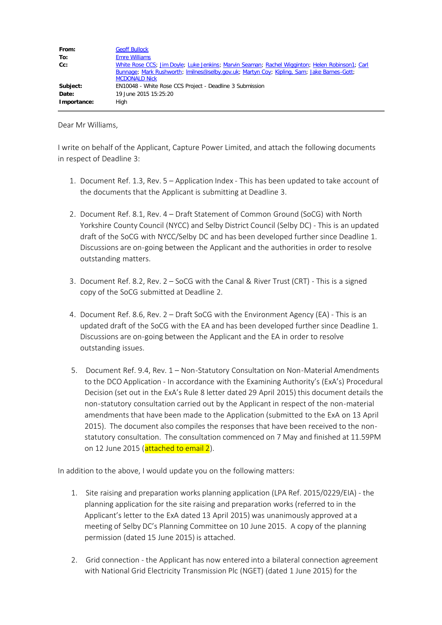| From:       | <b>Geoff Bullock</b>                                                                                                                                                                                                  |
|-------------|-----------------------------------------------------------------------------------------------------------------------------------------------------------------------------------------------------------------------|
| To:         | <b>Emre Williams</b>                                                                                                                                                                                                  |
| $Cc$ :      | White Rose CCS; Jim Doyle; Luke Jenkins; Marvin Seaman; Rachel Wigginton; Helen Robinson1; Carl<br>Bunnage; Mark Rushworth; Imilnes@selby.gov.uk; Martyn Coy; Kipling, Sam; Jake Barnes-Gott;<br><b>MCDONALD Nick</b> |
| Subject:    | EN10048 - White Rose CCS Project - Deadline 3 Submission                                                                                                                                                              |
| Date:       | 19 June 2015 15:25:20                                                                                                                                                                                                 |
| Importance: | High                                                                                                                                                                                                                  |

Dear Mr Williams,

I write on behalf of the Applicant, Capture Power Limited, and attach the following documents in respect of Deadline 3:

- 1. Document Ref. 1.3, Rev. 5 Application Index This has been updated to take account of the documents that the Applicant is submitting at Deadline 3.
- 2. Document Ref. 8.1, Rev. 4 Draft Statement of Common Ground (SoCG) with North Yorkshire County Council (NYCC) and Selby District Council (Selby DC) - This is an updated draft of the SoCG with NYCC/Selby DC and has been developed further since Deadline 1. Discussions are on-going between the Applicant and the authorities in order to resolve outstanding matters.
- 3. Document Ref. 8.2, Rev. 2 SoCG with the Canal & River Trust (CRT) This is a signed copy of the SoCG submitted at Deadline 2.
- 4. Document Ref. 8.6, Rev. 2 Draft SoCG with the Environment Agency (EA) This is an updated draft of the SoCG with the EA and has been developed further since Deadline 1. Discussions are on-going between the Applicant and the EA in order to resolve outstanding issues.
- 5. Document Ref. 9.4, Rev. 1 Non-Statutory Consultation on Non-Material Amendments to the DCO Application - In accordance with the Examining Authority's (ExA's) Procedural Decision (set out in the ExA's Rule 8 letter dated 29 April 2015) this document details the non-statutory consultation carried out by the Applicant in respect of the non-material amendments that have been made to the Application (submitted to the ExA on 13 April 2015). The document also compiles the responses that have been received to the nonstatutory consultation. The consultation commenced on 7 May and finished at 11.59PM on 12 June 2015 (attached to email 2).

In addition to the above, I would update you on the following matters:

- 1. Site raising and preparation works planning application (LPA Ref. 2015/0229/EIA) the planning application for the site raising and preparation works (referred to in the Applicant's letter to the ExA dated 13 April 2015) was unanimously approved at a meeting of Selby DC's Planning Committee on 10 June 2015. A copy of the planning permission (dated 15 June 2015) is attached.
- 2. Grid connection the Applicant has now entered into a bilateral connection agreement with National Grid Electricity Transmission Plc (NGET) (dated 1 June 2015) for the